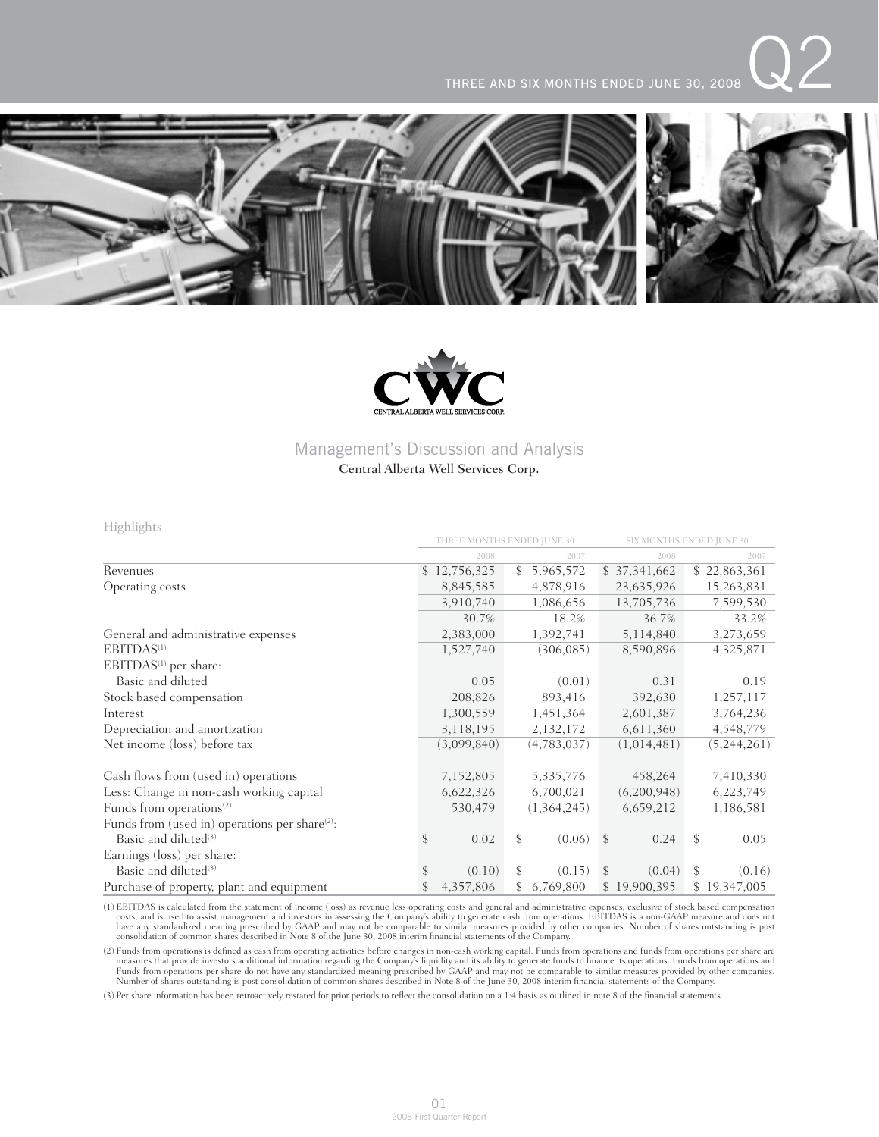



## Management's Discussion and Analysis

### Central Alberta Well Services Corp.

Highlights

|                                                            | THREE MONTHS ENDED IUNE 30 |    |             |               | SIX MONTHS ENDED JUNE 30 |    |              |
|------------------------------------------------------------|----------------------------|----|-------------|---------------|--------------------------|----|--------------|
|                                                            | 2008                       |    | 2007        |               | 2008                     |    | 2007         |
| Revenues                                                   | \$12,756,325               | \$ | 5,965,572   |               | \$37,341,662             |    | \$22,863,361 |
| Operating costs                                            | 8,845,585                  |    | 4,878,916   |               | 23,635,926               |    | 15,263,831   |
|                                                            | 3,910,740                  |    | 1,086,656   |               | 13,705,736               |    | 7,599,530    |
|                                                            | 30.7%                      |    | 18.2%       |               | 36.7%                    |    | 33.2%        |
| General and administrative expenses                        | 2,383,000                  |    | 1,392,741   |               | 5,114,840                |    | 3,273,659    |
| EBITDAS <sup>(1)</sup>                                     | 1,527,740                  |    | (306, 085)  |               | 8,590,896                |    | 4,325,871    |
| EBITDAS <sup>(1)</sup> per share:                          |                            |    |             |               |                          |    |              |
| Basic and diluted                                          | 0.05                       |    | (0.01)      |               | 0.31                     |    | 0.19         |
| Stock based compensation                                   | 208,826                    |    | 893,416     |               | 392,630                  |    | 1,257,117    |
| Interest                                                   | 1,300,559                  |    | 1,451,364   |               | 2,601,387                |    | 3,764,236    |
| Depreciation and amortization                              | 3,118,195                  |    | 2,132,172   |               | 6,611,360                |    | 4,548,779    |
| Net income (loss) before tax                               | (3,099,840)                |    | (4,783,037) |               | (1,014,481)              |    | (5,244,261)  |
|                                                            |                            |    |             |               |                          |    |              |
| Cash flows from (used in) operations                       | 7,152,805                  |    | 5,335,776   |               | 458,264                  |    | 7,410,330    |
| Less: Change in non-cash working capital                   | 6,622,326                  |    | 6,700,021   |               | (6,200,948)              |    | 6,223,749    |
| Funds from operations <sup>(2)</sup>                       | 530,479                    |    | (1,364,245) |               | 6,659,212                |    | 1,186,581    |
| Funds from (used in) operations per share <sup>(2)</sup> : |                            |    |             |               |                          |    |              |
| Basic and diluted $(3)$                                    | \$<br>0.02                 | \$ | (0.06)      | $\mathcal{S}$ | 0.24                     | \$ | 0.05         |
| Earnings (loss) per share:                                 |                            |    |             |               |                          |    |              |
| Basic and diluted <sup>(3)</sup>                           | \$<br>(0.10)               | \$ | (0.15)      | <sup>\$</sup> | (0.04)                   | \$ | (0.16)       |
| Purchase of property, plant and equipment                  | 4,357,806                  | \$ | 6,769,800   |               | \$19,900,395             |    | \$19,347,005 |

(1) EBITDAS is calculated from the statement of income (loss) as revenue less operating costs and general and administrative expenses, exclusive of stock based compensation costs, and is used to assist management and investors in assessing the Company's ability to generate cash from operations. EBITDAS is a non-GAAP measure and does not<br>have any standardized meaning prescribed by GAAP and may

(2) Funds from operations is defined as cash from operating activities before changes in non-cash working capital. Funds from operations and funds from operations per share are measures that provide investors additional in

(3) Per share information has been retroactively restated for prior periods to reflect the consolidation on a 1:4 basis as outlined in note 8 of the financial statements.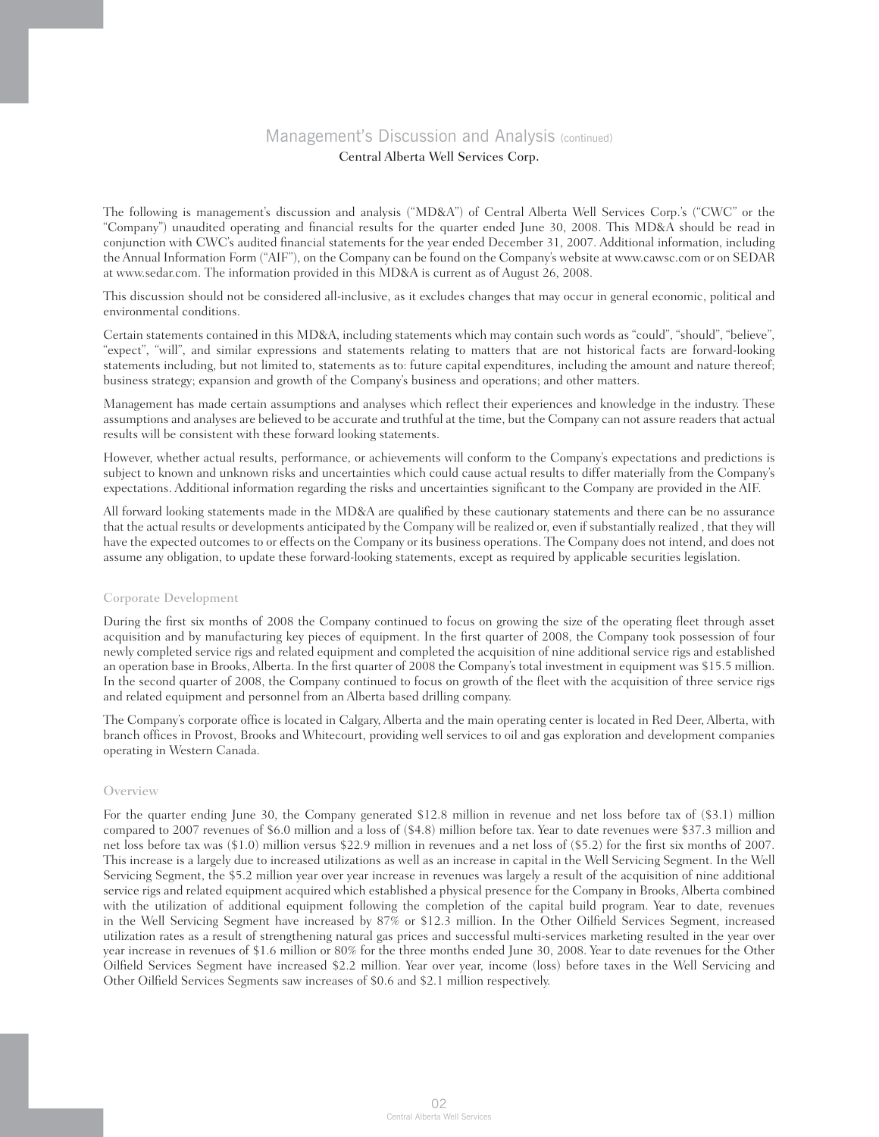The following is management's discussion and analysis ("MD&A") of Central Alberta Well Services Corp.'s ("CWC" or the "Company") unaudited operating and financial results for the quarter ended June 30, 2008. This MD&A should be read in conjunction with CWC's audited financial statements for the year ended December 31, 2007. Additional information, including the Annual Information Form ("AIF"), on the Company can be found on the Company's website at www.cawsc.com or on SEDAR at www.sedar.com. The information provided in this MD&A is current as of August 26, 2008.

This discussion should not be considered all-inclusive, as it excludes changes that may occur in general economic, political and environmental conditions.

Certain statements contained in this MD&A, including statements which may contain such words as "could", "should", "believe", "expect", "will", and similar expressions and statements relating to matters that are not historical facts are forward-looking statements including, but not limited to, statements as to: future capital expenditures, including the amount and nature thereof; business strategy; expansion and growth of the Company's business and operations; and other matters.

Management has made certain assumptions and analyses which reflect their experiences and knowledge in the industry. These assumptions and analyses are believed to be accurate and truthful at the time, but the Company can not assure readers that actual results will be consistent with these forward looking statements.

However, whether actual results, performance, or achievements will conform to the Company's expectations and predictions is subject to known and unknown risks and uncertainties which could cause actual results to differ materially from the Company's expectations. Additional information regarding the risks and uncertainties significant to the Company are provided in the AIF.

All forward looking statements made in the MD&A are qualified by these cautionary statements and there can be no assurance that the actual results or developments anticipated by the Company will be realized or, even if substantially realized , that they will have the expected outcomes to or effects on the Company or its business operations. The Company does not intend, and does not assume any obligation, to update these forward-looking statements, except as required by applicable securities legislation.

### Corporate Development

During the first six months of 2008 the Company continued to focus on growing the size of the operating fleet through asset acquisition and by manufacturing key pieces of equipment. In the first quarter of 2008, the Company took possession of four newly completed service rigs and related equipment and completed the acquisition of nine additional service rigs and established an operation base in Brooks, Alberta. In the first quarter of 2008 the Company's total investment in equipment was \$15.5 million. In the second quarter of 2008, the Company continued to focus on growth of the fleet with the acquisition of three service rigs and related equipment and personnel from an Alberta based drilling company.

The Company's corporate office is located in Calgary, Alberta and the main operating center is located in Red Deer, Alberta, with branch offices in Provost, Brooks and Whitecourt, providing well services to oil and gas exploration and development companies operating in Western Canada.

### Overview

For the quarter ending June 30, the Company generated \$12.8 million in revenue and net loss before tax of (\$3.1) million compared to 2007 revenues of \$6.0 million and a loss of (\$4.8) million before tax. Year to date revenues were \$37.3 million and net loss before tax was (\$1.0) million versus \$22.9 million in revenues and a net loss of (\$5.2) for the first six months of 2007. This increase is a largely due to increased utilizations as well as an increase in capital in the Well Servicing Segment. In the Well Servicing Segment, the \$5.2 million year over year increase in revenues was largely a result of the acquisition of nine additional service rigs and related equipment acquired which established a physical presence for the Company in Brooks, Alberta combined with the utilization of additional equipment following the completion of the capital build program. Year to date, revenues in the Well Servicing Segment have increased by 87% or \$12.3 million. In the Other Oilfield Services Segment, increased utilization rates as a result of strengthening natural gas prices and successful multi-services marketing resulted in the year over year increase in revenues of \$1.6 million or 80% for the three months ended June 30, 2008. Year to date revenues for the Other Oilfield Services Segment have increased \$2.2 million. Year over year, income (loss) before taxes in the Well Servicing and Other Oilfield Services Segments saw increases of \$0.6 and \$2.1 million respectively.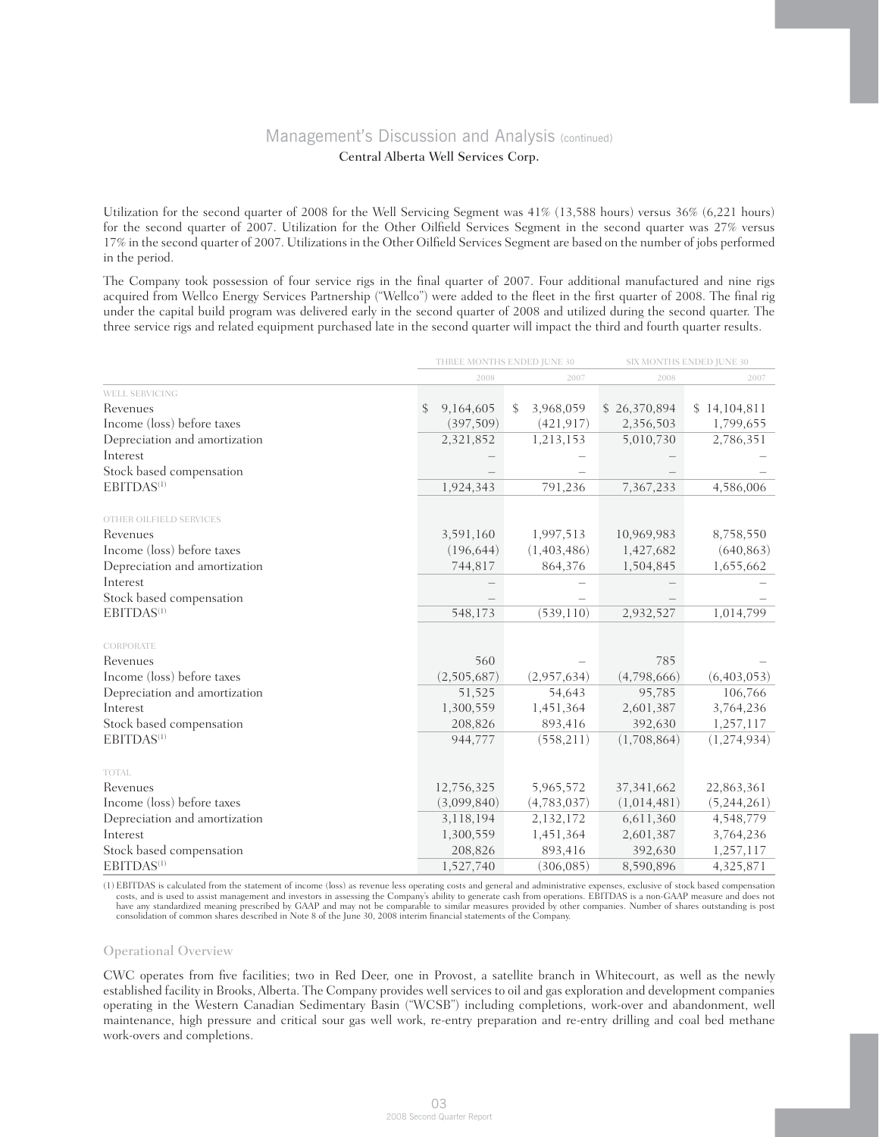# Management's Discussion and Analysis (continued)

### Central Alberta Well Services Corp.

Utilization for the second quarter of 2008 for the Well Servicing Segment was 41% (13,588 hours) versus 36% (6,221 hours) for the second quarter of 2007. Utilization for the Other Oilfield Services Segment in the second quarter was 27% versus 17% in the second quarter of 2007. Utilizations in the Other Oilfield Services Segment are based on the number of jobs performed in the period.

The Company took possession of four service rigs in the final quarter of 2007. Four additional manufactured and nine rigs acquired from Wellco Energy Services Partnership ("Wellco") were added to the fleet in the first quarter of 2008. The final rig under the capital build program was delivered early in the second quarter of 2008 and utilized during the second quarter. The three service rigs and related equipment purchased late in the second quarter will impact the third and fourth quarter results.

|                               | THREE MONTHS ENDED JUNE 30 |             |    |             |              | SIX MONTHS ENDED JUNE 30 |              |               |
|-------------------------------|----------------------------|-------------|----|-------------|--------------|--------------------------|--------------|---------------|
|                               |                            | 2008        |    | 2007        |              | 2008                     |              | 2007          |
| WELL SERVICING                |                            |             |    |             |              |                          |              |               |
| Revenues                      | \$                         | 9,164,605   | \$ | 3,968,059   | \$26,370,894 |                          | \$14,104,811 |               |
| Income (loss) before taxes    |                            | (397,509)   |    | (421, 917)  | 2,356,503    |                          |              | 1,799,655     |
| Depreciation and amortization |                            | 2,321,852   |    | 1,213,153   | 5,010,730    |                          |              | 2,786,351     |
| Interest                      |                            |             |    |             |              |                          |              |               |
| Stock based compensation      |                            |             |    |             |              |                          |              |               |
| EBITDAS <sup>(1)</sup>        |                            | 1,924,343   |    | 791,236     | 7,367,233    |                          |              | 4,586,006     |
| OTHER OILFIELD SERVICES       |                            |             |    |             |              |                          |              |               |
| Revenues                      |                            | 3,591,160   |    | 1,997,513   | 10,969,983   |                          |              | 8,758,550     |
| Income (loss) before taxes    |                            | (196, 644)  |    | (1,403,486) | 1,427,682    |                          |              | (640, 863)    |
| Depreciation and amortization |                            | 744,817     |    | 864,376     | 1,504,845    |                          |              | 1,655,662     |
| Interest                      |                            |             |    |             |              |                          |              |               |
| Stock based compensation      |                            |             |    |             |              |                          |              |               |
| EBITDAS <sup>(1)</sup>        |                            | 548,173     |    | (539, 110)  | 2,932,527    |                          |              | 1,014,799     |
| CORPORATE                     |                            |             |    |             |              |                          |              |               |
| Revenues                      |                            | 560         |    |             |              | 785                      |              |               |
| Income (loss) before taxes    |                            | (2,505,687) |    | (2,957,634) | (4,798,666)  |                          |              | (6,403,053)   |
| Depreciation and amortization |                            | 51,525      |    | 54,643      |              | 95,785                   |              | 106,766       |
| Interest                      |                            | 1,300,559   |    | 1,451,364   | 2,601,387    |                          |              | 3,764,236     |
| Stock based compensation      |                            | 208,826     |    | 893,416     | 392,630      |                          |              | 1,257,117     |
| EBITDAS <sup>(1)</sup>        |                            | 944,777     |    | (558, 211)  | (1,708,864)  |                          |              | (1, 274, 934) |
| TOTAL                         |                            |             |    |             |              |                          |              |               |
| Revenues                      |                            | 12,756,325  |    | 5,965,572   | 37, 341, 662 |                          |              | 22,863,361    |
| Income (loss) before taxes    |                            | (3,099,840) |    | (4,783,037) | (1,014,481)  |                          |              | (5,244,261)   |
| Depreciation and amortization |                            | 3,118,194   |    | 2,132,172   | 6,611,360    |                          |              | 4,548,779     |
| Interest                      |                            | 1,300,559   |    | 1,451,364   | 2,601,387    |                          |              | 3,764,236     |
| Stock based compensation      |                            | 208,826     |    | 893,416     | 392,630      |                          |              | 1,257,117     |
| EBITDAS <sup>(1)</sup>        |                            | 1,527,740   |    | (306, 085)  | 8,590,896    |                          |              | 4,325,871     |

(1) EBITDAS is calculated from the statement of income (loss) as revenue less operating costs and general and administrative expenses, exclusive of stock based compensation costs, and is used to assist management and inves consolidation of common shares described in Note 8 of the June 30, 2008 interim financial statements of the Company.

### Operational Overview

CWC operates from five facilities; two in Red Deer, one in Provost, a satellite branch in Whitecourt, as well as the newly established facility in Brooks, Alberta. The Company provides well services to oil and gas exploration and development companies operating in the Western Canadian Sedimentary Basin ("WCSB") including completions, work-over and abandonment, well maintenance, high pressure and critical sour gas well work, re-entry preparation and re-entry drilling and coal bed methane work-overs and completions.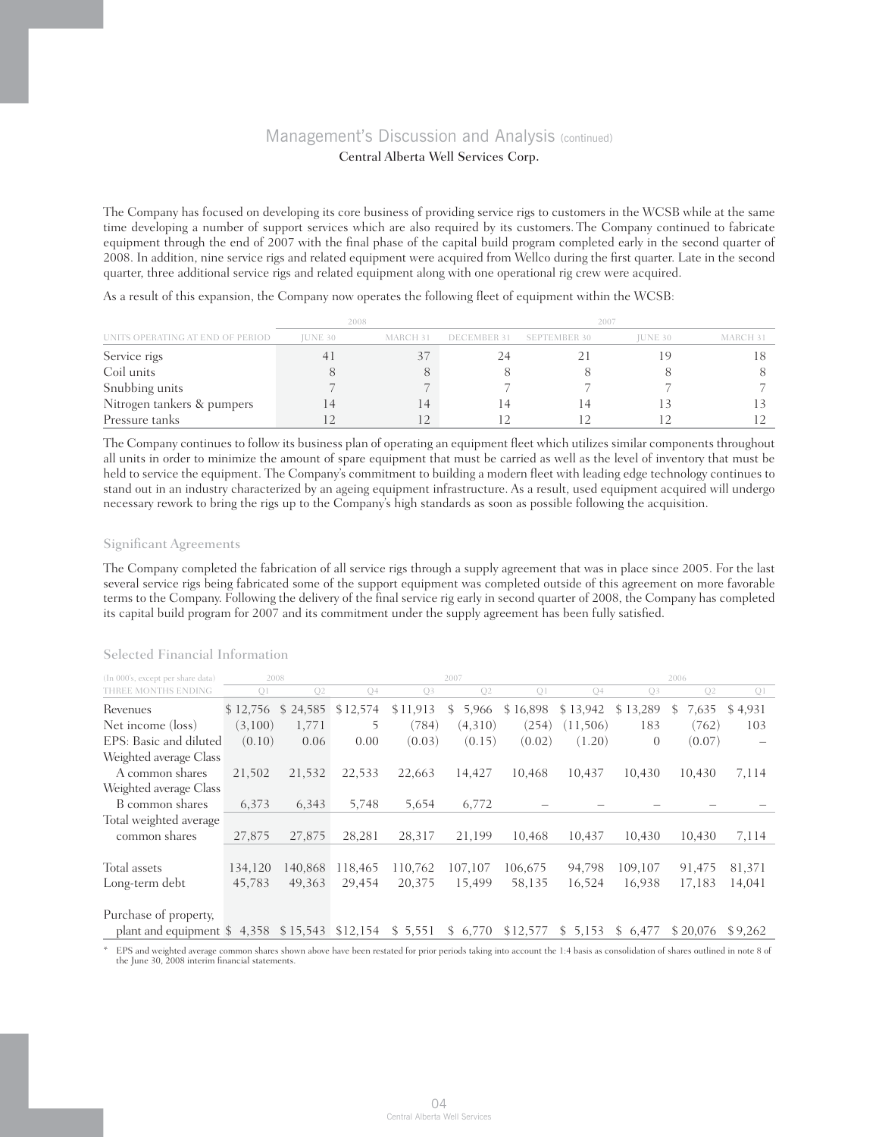The Company has focused on developing its core business of providing service rigs to customers in the WCSB while at the same time developing a number of support services which are also required by its customers. The Company continued to fabricate equipment through the end of 2007 with the final phase of the capital build program completed early in the second quarter of 2008. In addition, nine service rigs and related equipment were acquired from Wellco during the first quarter. Late in the second quarter, three additional service rigs and related equipment along with one operational rig crew were acquired.

As a result of this expansion, the Company now operates the following fleet of equipment within the WCSB:

| UNITS OPERATING AT END OF PERIOD | 2008           |                | 2007        |                     |                |          |  |  |
|----------------------------------|----------------|----------------|-------------|---------------------|----------------|----------|--|--|
|                                  | <b>IUNE 30</b> | MARCH 31       | DECEMBER 31 | <b>SEPTEMBER 30</b> | <b>IUNE 30</b> | MARCH 31 |  |  |
| Service rigs                     |                |                |             |                     |                |          |  |  |
| Coil units                       |                |                |             |                     |                |          |  |  |
| Snubbing units                   |                |                |             |                     |                |          |  |  |
| Nitrogen tankers & pumpers       |                | <sub>1</sub> 4 |             |                     |                |          |  |  |
| Pressure tanks                   |                |                |             |                     |                |          |  |  |

The Company continues to follow its business plan of operating an equipment fleet which utilizes similar components throughout all units in order to minimize the amount of spare equipment that must be carried as well as the level of inventory that must be held to service the equipment. The Company's commitment to building a modern fleet with leading edge technology continues to stand out in an industry characterized by an ageing equipment infrastructure. As a result, used equipment acquired will undergo necessary rework to bring the rigs up to the Company's high standards as soon as possible following the acquisition.

### Significant Agreements

The Company completed the fabrication of all service rigs through a supply agreement that was in place since 2005. For the last several service rigs being fabricated some of the support equipment was completed outside of this agreement on more favorable terms to the Company. Following the delivery of the final service rig early in second quarter of 2008, the Company has completed its capital build program for 2007 and its commitment under the supply agreement has been fully satisfied.

| (In 000's, except per share data) |                | 2008     |                |          | 2007           |                | 2006                    |                |                |         |  |
|-----------------------------------|----------------|----------|----------------|----------|----------------|----------------|-------------------------|----------------|----------------|---------|--|
| THREE MONTHS ENDING               | O <sub>1</sub> | O2       | Q <sub>4</sub> | Q3       | O <sub>2</sub> | O <sub>1</sub> | O <sub>4</sub>          | O <sub>3</sub> | Q <sub>2</sub> | Q1      |  |
| Revenues                          | \$12,756       | \$24,585 | \$12,574       | \$11,913 | 5,966<br>S.    | \$16,898       | \$13,942                | \$13,289       | 7,635<br>S.    | \$4,931 |  |
| Net income (loss)                 | (3,100)        | 1,771    | 5              | (784)    | (4,310)        | (254)          | (11,506)                | 183            | (762)          | 103     |  |
| EPS: Basic and diluted            | (0.10)         | 0.06     | 0.00           | (0.03)   | (0.15)         | (0.02)         | (1.20)                  | $\Omega$       | (0.07)         |         |  |
| Weighted average Class            |                |          |                |          |                |                |                         |                |                |         |  |
| A common shares                   | 21,502         | 21,532   | 22,533         | 22,663   | 14,427         | 10.468         | 10,437                  | 10,430         | 10.430         | 7,114   |  |
| Weighted average Class            |                |          |                |          |                |                |                         |                |                |         |  |
| B common shares                   | 6,373          | 6,343    | 5,748          | 5,654    | 6,772          |                |                         |                |                |         |  |
| Total weighted average            |                |          |                |          |                |                |                         |                |                |         |  |
| common shares                     | 27,875         | 27,875   | 28,281         | 28,317   | 21,199         | 10.468         | 10.437                  | 10.430         | 10.430         | 7,114   |  |
|                                   |                |          |                |          |                |                |                         |                |                |         |  |
| Total assets                      | 134,120        | 140,868  | 118,465        | 110,762  | 107,107        | 106,675        | 94,798                  | 109,107        | 91,475         | 81,371  |  |
| Long-term debt                    | 45,783         | 49,363   | 29.454         | 20,375   | 15.499         | 58,135         | 16,524                  | 16,938         | 17,183         | 14,041  |  |
|                                   |                |          |                |          |                |                |                         |                |                |         |  |
| Purchase of property,             |                |          |                |          |                |                |                         |                |                |         |  |
| plant and equipment \$            | 4,358          | \$15,543 | \$12,154       | \$5,551  | \$6,770        | \$12,577       | 5,153<br>$\mathbb{S}^-$ | 6,477<br>\$    | \$20.076       | \$9,262 |  |
|                                   |                |          |                |          |                |                |                         |                |                |         |  |

Selected Financial Information

\* EPS and weighted average common shares shown above have been restated for prior periods taking into account the 1:4 basis as consolidation of shares outlined in note 8 of the June 30, 2008 interim financial statements.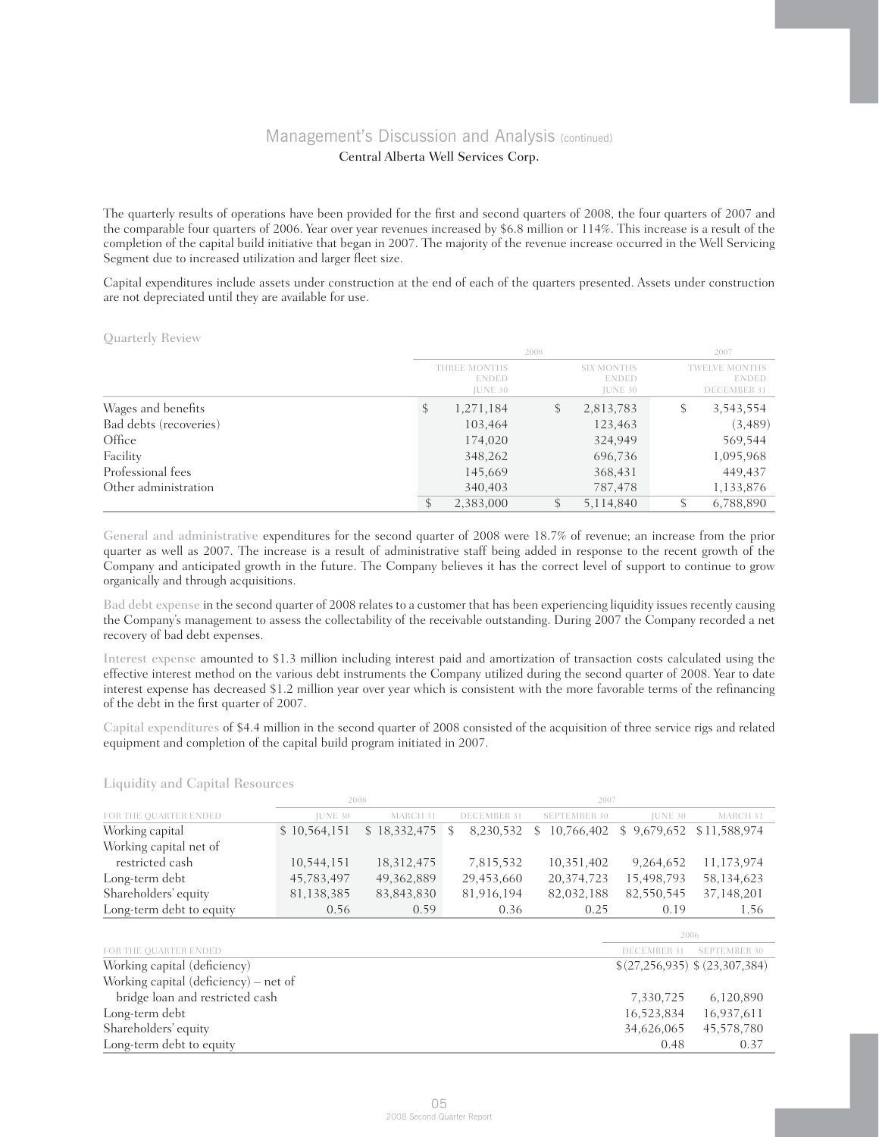The quarterly results of operations have been provided for the first and second quarters of 2008, the four quarters of 2007 and the comparable four quarters of 2006. Year over year revenues increased by \$6.8 million or 114%. This increase is a result of the completion of the capital build initiative that began in 2007. The majority of the revenue increase occurred in the Well Servicing Segment due to increased utilization and larger fleet size.

Capital expenditures include assets under construction at the end of each of the quarters presented. Assets under construction are not depreciated until they are available for use.

Quarterly Review

|                        |                                                | 2008 |                                              |   |                                                            |  |
|------------------------|------------------------------------------------|------|----------------------------------------------|---|------------------------------------------------------------|--|
|                        | THREE MONTHS<br><b>ENDED</b><br><b>JUNE 30</b> |      | SIX MONTHS<br><b>ENDED</b><br><b>JUNE 30</b> |   | <b>TWELVE MONTHS</b><br><b>ENDED</b><br><b>DECEMBER 31</b> |  |
| Wages and benefits     | 1,271,184<br>S                                 | \$   | 2,813,783                                    | S | 3,543,554                                                  |  |
| Bad debts (recoveries) | 103,464                                        |      | 123,463                                      |   | (3,489)                                                    |  |
| Office                 | 174,020                                        |      | 324,949                                      |   | 569,544                                                    |  |
| Facility               | 348,262                                        |      | 696,736                                      |   | 1,095,968                                                  |  |
| Professional fees      | 145,669                                        |      | 368,431                                      |   | 449,437                                                    |  |
| Other administration   | 340,403                                        |      | 787,478                                      |   | 1,133,876                                                  |  |
|                        | 2,383,000                                      |      | 5,114,840                                    |   | 6,788,890                                                  |  |

General and administrative expenditures for the second quarter of 2008 were 18.7% of revenue; an increase from the prior quarter as well as 2007. The increase is a result of administrative staff being added in response to the recent growth of the Company and anticipated growth in the future. The Company believes it has the correct level of support to continue to grow organically and through acquisitions.

Bad debt expense in the second quarter of 2008 relates to a customer that has been experiencing liquidity issues recently causing the Company's management to assess the collectability of the receivable outstanding. During 2007 the Company recorded a net recovery of bad debt expenses.

Interest expense amounted to \$1.3 million including interest paid and amortization of transaction costs calculated using the effective interest method on the various debt instruments the Company utilized during the second quarter of 2008. Year to date interest expense has decreased \$1.2 million year over year which is consistent with the more favorable terms of the refinancing of the debt in the first quarter of 2007.

Capital expenditures of \$4.4 million in the second quarter of 2008 consisted of the acquisition of three service rigs and related equipment and completion of the capital build program initiated in 2007.

Liquidity and Capital Resources

|                                       |              | 2008         |                | 2007                |                    |                               |  |
|---------------------------------------|--------------|--------------|----------------|---------------------|--------------------|-------------------------------|--|
| FOR THE QUARTER ENDED                 | JUNE 30      | MARCH 31     | DECEMBER 31    | <b>SEPTEMBER 30</b> | <b>JUNE 30</b>     | MARCH 31                      |  |
| Working capital                       | \$10,564,151 | \$18,332,475 | 8,230,532<br>S | 10,766,402<br>\$    | \$9,679,652        | \$11,588,974                  |  |
| Working capital net of                |              |              |                |                     |                    |                               |  |
| restricted cash                       | 10,544,151   | 18,312,475   | 7,815,532      | 10,351,402          | 9,264,652          | 11,173,974                    |  |
| Long-term debt                        | 45,783,497   | 49,362,889   | 29,453,660     | 20,374,723          | 15,498,793         | 58,134,623                    |  |
| Shareholders' equity                  | 81,138,385   | 83,843,830   | 81,916,194     | 82,032,188          | 82,550,545         | 37,148,201                    |  |
| Long-term debt to equity              | 0.56         | 0.59         | 0.36           | 0.25                | 0.19               | 1.56                          |  |
|                                       |              |              |                |                     |                    | 2006                          |  |
| FOR THE QUARTER ENDED                 |              |              |                |                     | <b>DECEMBER 31</b> | <b>SEPTEMBER 30</b>           |  |
| Working capital (deficiency)          |              |              |                |                     |                    | \$(27,256,935) \$(23,307,384) |  |
| Working capital (deficiency) – net of |              |              |                |                     |                    |                               |  |
| bridge loan and restricted cash       |              |              |                |                     | 7,330,725          | 6,120,890                     |  |
| Long-term debt                        |              |              |                | 16,523,834          | 16,937,611         |                               |  |
| Shareholders' equity                  |              |              |                | 34,626,065          | 45,578,780         |                               |  |
| Long-term debt to equity              |              |              |                |                     | 0.48               | 0.37                          |  |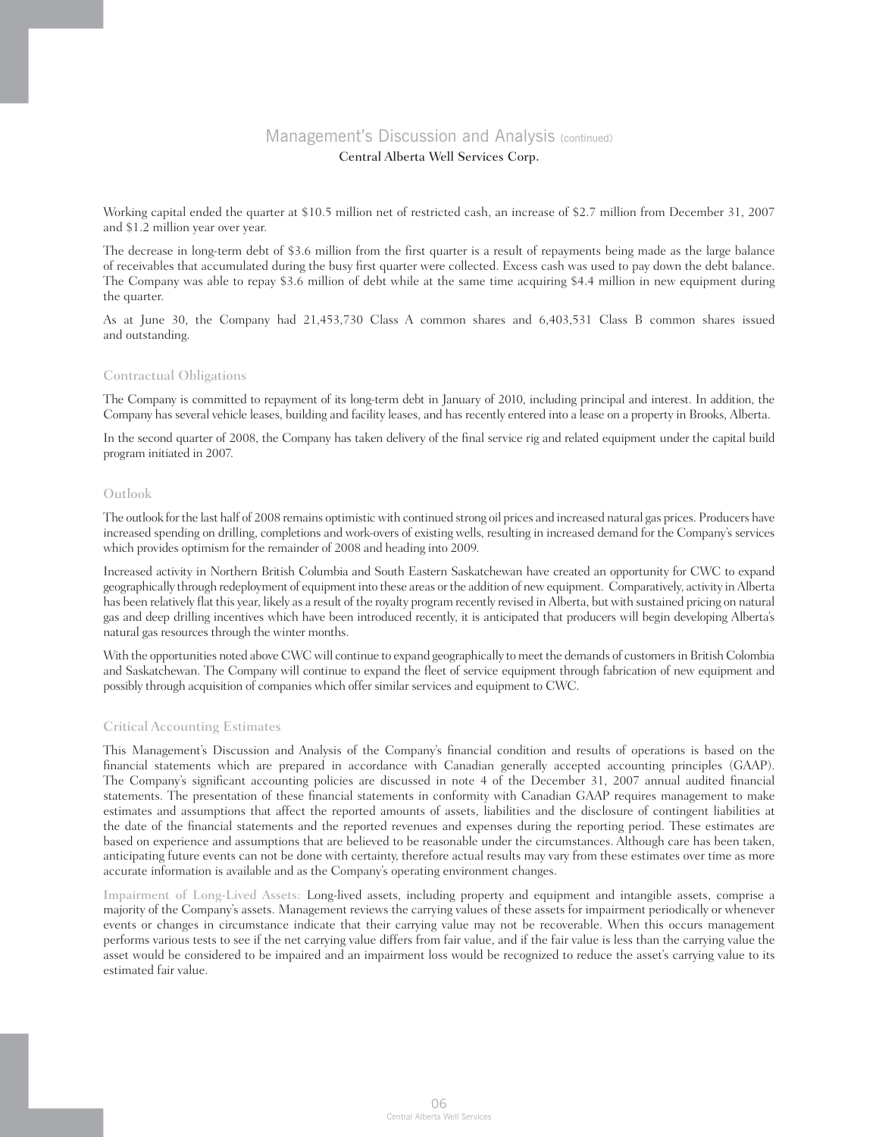Working capital ended the quarter at \$10.5 million net of restricted cash, an increase of \$2.7 million from December 31, 2007 and \$1.2 million year over year.

The decrease in long-term debt of \$3.6 million from the first quarter is a result of repayments being made as the large balance of receivables that accumulated during the busy first quarter were collected. Excess cash was used to pay down the debt balance. The Company was able to repay \$3.6 million of debt while at the same time acquiring \$4.4 million in new equipment during the quarter.

As at June 30, the Company had 21,453,730 Class A common shares and 6,403,531 Class B common shares issued and outstanding.

#### Contractual Obligations

The Company is committed to repayment of its long-term debt in January of 2010, including principal and interest. In addition, the Company has several vehicle leases, building and facility leases, and has recently entered into a lease on a property in Brooks, Alberta.

In the second quarter of 2008, the Company has taken delivery of the final service rig and related equipment under the capital build program initiated in 2007.

### Outlook

The outlook for the last half of 2008 remains optimistic with continued strong oil prices and increased natural gas prices. Producers have increased spending on drilling, completions and work-overs of existing wells, resulting in increased demand for the Company's services which provides optimism for the remainder of 2008 and heading into 2009.

Increased activity in Northern British Columbia and South Eastern Saskatchewan have created an opportunity for CWC to expand geographically through redeployment of equipment into these areas or the addition of new equipment. Comparatively, activity in Alberta has been relatively flat this year, likely as a result of the royalty program recently revised in Alberta, but with sustained pricing on natural gas and deep drilling incentives which have been introduced recently, it is anticipated that producers will begin developing Alberta's natural gas resources through the winter months.

With the opportunities noted above CWC will continue to expand geographically to meet the demands of customers in British Colombia and Saskatchewan. The Company will continue to expand the fleet of service equipment through fabrication of new equipment and possibly through acquisition of companies which offer similar services and equipment to CWC.

### Critical Accounting Estimates

This Management's Discussion and Analysis of the Company's financial condition and results of operations is based on the financial statements which are prepared in accordance with Canadian generally accepted accounting principles (GAAP). The Company's significant accounting policies are discussed in note 4 of the December 31, 2007 annual audited financial statements. The presentation of these financial statements in conformity with Canadian GAAP requires management to make estimates and assumptions that affect the reported amounts of assets, liabilities and the disclosure of contingent liabilities at the date of the financial statements and the reported revenues and expenses during the reporting period. These estimates are based on experience and assumptions that are believed to be reasonable under the circumstances. Although care has been taken, anticipating future events can not be done with certainty, therefore actual results may vary from these estimates over time as more accurate information is available and as the Company's operating environment changes.

Impairment of Long-Lived Assets: Long-lived assets, including property and equipment and intangible assets, comprise a majority of the Company's assets. Management reviews the carrying values of these assets for impairment periodically or whenever events or changes in circumstance indicate that their carrying value may not be recoverable. When this occurs management performs various tests to see if the net carrying value differs from fair value, and if the fair value is less than the carrying value the asset would be considered to be impaired and an impairment loss would be recognized to reduce the asset's carrying value to its estimated fair value.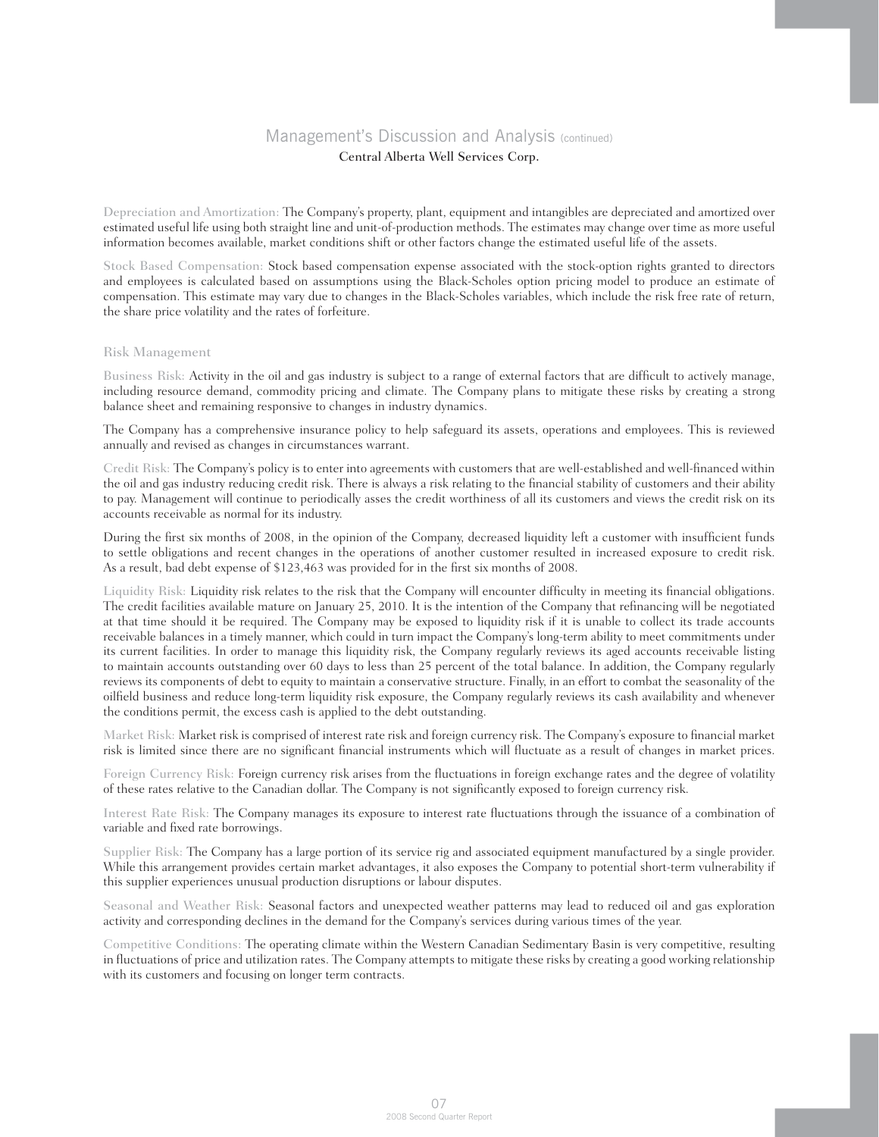Depreciation and Amortization: The Company's property, plant, equipment and intangibles are depreciated and amortized over estimated useful life using both straight line and unit-of-production methods. The estimates may change over time as more useful information becomes available, market conditions shift or other factors change the estimated useful life of the assets.

Stock Based Compensation: Stock based compensation expense associated with the stock-option rights granted to directors and employees is calculated based on assumptions using the Black-Scholes option pricing model to produce an estimate of compensation. This estimate may vary due to changes in the Black-Scholes variables, which include the risk free rate of return, the share price volatility and the rates of forfeiture.

### Risk Management

Business Risk: Activity in the oil and gas industry is subject to a range of external factors that are difficult to actively manage, including resource demand, commodity pricing and climate. The Company plans to mitigate these risks by creating a strong balance sheet and remaining responsive to changes in industry dynamics.

The Company has a comprehensive insurance policy to help safeguard its assets, operations and employees. This is reviewed annually and revised as changes in circumstances warrant.

Credit Risk: The Company's policy is to enter into agreements with customers that are well-established and well-financed within the oil and gas industry reducing credit risk. There is always a risk relating to the financial stability of customers and their ability to pay. Management will continue to periodically asses the credit worthiness of all its customers and views the credit risk on its accounts receivable as normal for its industry.

During the first six months of 2008, in the opinion of the Company, decreased liquidity left a customer with insufficient funds to settle obligations and recent changes in the operations of another customer resulted in increased exposure to credit risk. As a result, bad debt expense of \$123,463 was provided for in the first six months of 2008.

Liquidity Risk: Liquidity risk relates to the risk that the Company will encounter difficulty in meeting its financial obligations. The credit facilities available mature on January 25, 2010. It is the intention of the Company that refinancing will be negotiated at that time should it be required. The Company may be exposed to liquidity risk if it is unable to collect its trade accounts receivable balances in a timely manner, which could in turn impact the Company's long-term ability to meet commitments under its current facilities. In order to manage this liquidity risk, the Company regularly reviews its aged accounts receivable listing to maintain accounts outstanding over 60 days to less than 25 percent of the total balance. In addition, the Company regularly reviews its components of debt to equity to maintain a conservative structure. Finally, in an effort to combat the seasonality of the oilfield business and reduce long-term liquidity risk exposure, the Company regularly reviews its cash availability and whenever the conditions permit, the excess cash is applied to the debt outstanding.

Market Risk: Market risk is comprised of interest rate risk and foreign currency risk. The Company's exposure to financial market risk is limited since there are no significant financial instruments which will fluctuate as a result of changes in market prices.

Foreign Currency Risk: Foreign currency risk arises from the fluctuations in foreign exchange rates and the degree of volatility of these rates relative to the Canadian dollar. The Company is not significantly exposed to foreign currency risk.

Interest Rate Risk: The Company manages its exposure to interest rate fluctuations through the issuance of a combination of variable and fixed rate borrowings.

Supplier Risk: The Company has a large portion of its service rig and associated equipment manufactured by a single provider. While this arrangement provides certain market advantages, it also exposes the Company to potential short-term vulnerability if this supplier experiences unusual production disruptions or labour disputes.

Seasonal and Weather Risk: Seasonal factors and unexpected weather patterns may lead to reduced oil and gas exploration activity and corresponding declines in the demand for the Company's services during various times of the year.

Competitive Conditions: The operating climate within the Western Canadian Sedimentary Basin is very competitive, resulting in fluctuations of price and utilization rates. The Company attempts to mitigate these risks by creating a good working relationship with its customers and focusing on longer term contracts.